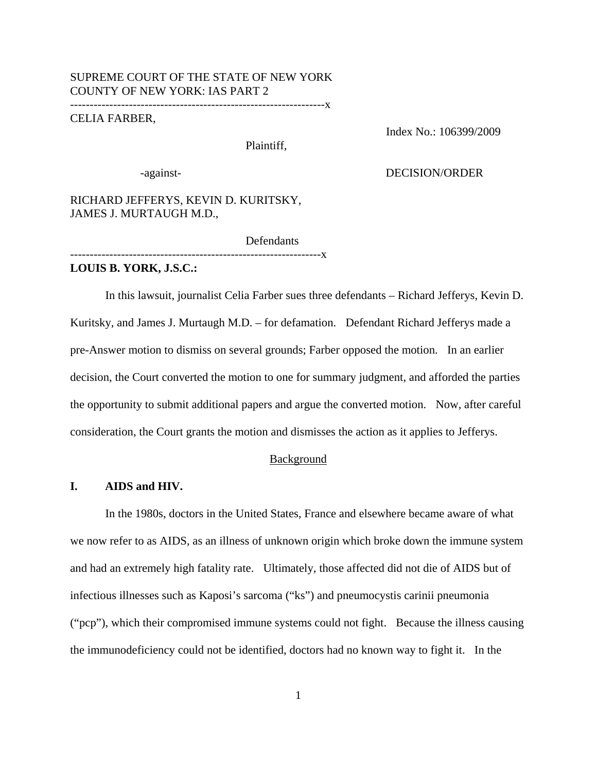## SUPREME COURT OF THE STATE OF NEW YORK COUNTY OF NEW YORK: IAS PART 2 -----------------------------------------------------------------x

## CELIA FARBER,

Plaintiff,

Index No.: 106399/2009

### -against- DECISION/ORDER

RICHARD JEFFERYS, KEVIN D. KURITSKY, JAMES J. MURTAUGH M.D.,

----------------------------------------------------------------x

Defendants

**LOUIS B. YORK, J.S.C.:**

In this lawsuit, journalist Celia Farber sues three defendants – Richard Jefferys, Kevin D. Kuritsky, and James J. Murtaugh M.D. – for defamation. Defendant Richard Jefferys made a pre-Answer motion to dismiss on several grounds; Farber opposed the motion. In an earlier decision, the Court converted the motion to one for summary judgment, and afforded the parties the opportunity to submit additional papers and argue the converted motion. Now, after careful consideration, the Court grants the motion and dismisses the action as it applies to Jefferys.

#### Background

## **I. AIDS and HIV.**

In the 1980s, doctors in the United States, France and elsewhere became aware of what we now refer to as AIDS, as an illness of unknown origin which broke down the immune system and had an extremely high fatality rate. Ultimately, those affected did not die of AIDS but of infectious illnesses such as Kaposi's sarcoma ("ks") and pneumocystis carinii pneumonia ("pcp"), which their compromised immune systems could not fight. Because the illness causing the immunodeficiency could not be identified, doctors had no known way to fight it. In the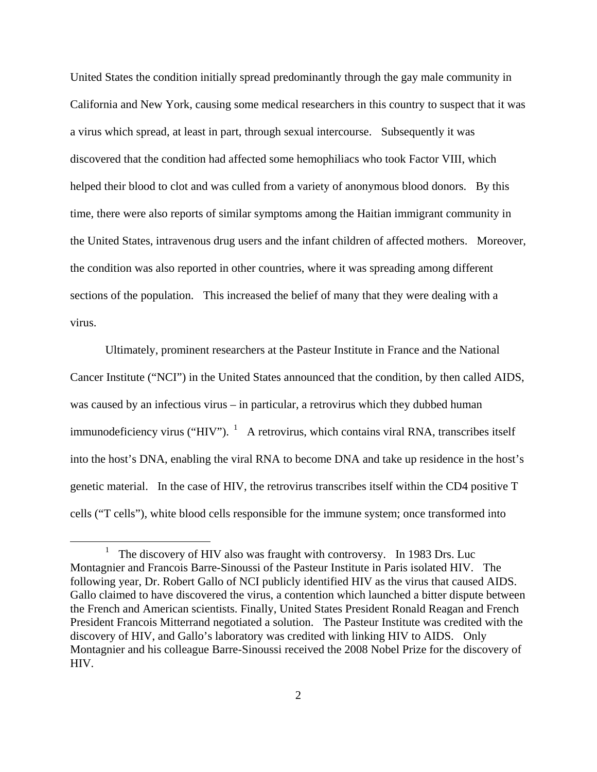United States the condition initially spread predominantly through the gay male community in California and New York, causing some medical researchers in this country to suspect that it was a virus which spread, at least in part, through sexual intercourse. Subsequently it was discovered that the condition had affected some hemophiliacs who took Factor VIII, which helped their blood to clot and was culled from a variety of anonymous blood donors. By this time, there were also reports of similar symptoms among the Haitian immigrant community in the United States, intravenous drug users and the infant children of affected mothers. Moreover, the condition was also reported in other countries, where it was spreading among different sections of the population. This increased the belief of many that they were dealing with a virus.

Ultimately, prominent researchers at the Pasteur Institute in France and the National Cancer Institute ("NCI") in the United States announced that the condition, by then called AIDS, was caused by an infectious virus – in particular, a retrovirus which they dubbed human immunodeficiency virus ("HIV").  $\frac{1}{1}$  A retrovirus, which contains viral RNA, transcribes itself into the host's DNA, enabling the viral RNA to become DNA and take up residence in the host's genetic material. In the case of HIV, the retrovirus transcribes itself within the CD4 positive T cells ("T cells"), white blood cells responsible for the immune system; once transformed into

<sup>&</sup>lt;u>1</u> The discovery of HIV also was fraught with controversy. In 1983 Drs. Luc Montagnier and Francois Barre-Sinoussi of the Pasteur Institute in Paris isolated HIV. The following year, Dr. Robert Gallo of NCI publicly identified HIV as the virus that caused AIDS. Gallo claimed to have discovered the virus, a contention which launched a bitter dispute between the French and American scientists. Finally, United States President Ronald Reagan and French President Francois Mitterrand negotiated a solution. The Pasteur Institute was credited with the discovery of HIV, and Gallo's laboratory was credited with linking HIV to AIDS. Only Montagnier and his colleague Barre-Sinoussi received the 2008 Nobel Prize for the discovery of HIV.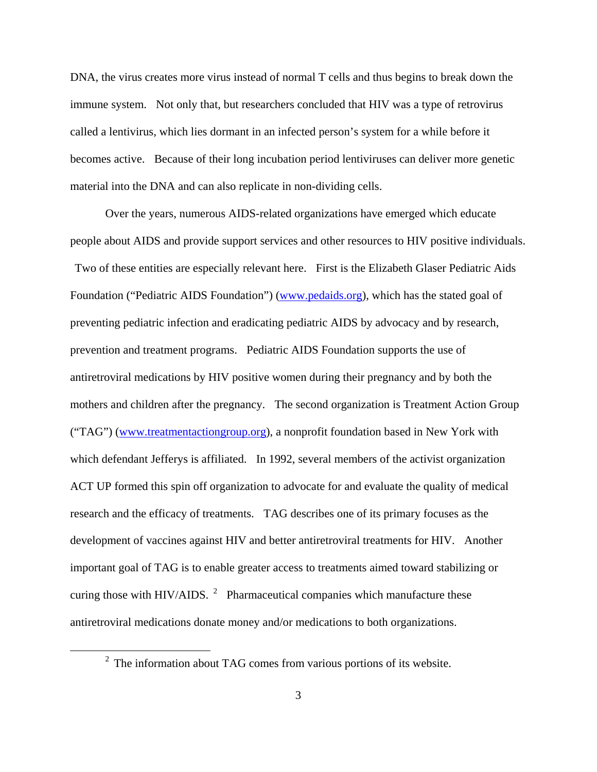DNA, the virus creates more virus instead of normal T cells and thus begins to break down the immune system. Not only that, but researchers concluded that HIV was a type of retrovirus called a lentivirus, which lies dormant in an infected person's system for a while before it becomes active. Because of their long incubation period lentiviruses can deliver more genetic material into the DNA and can also replicate in non-dividing cells.

Over the years, numerous AIDS-related organizations have emerged which educate people about AIDS and provide support services and other resources to HIV positive individuals. Two of these entities are especially relevant here. First is the Elizabeth Glaser Pediatric Aids Foundation ("Pediatric AIDS Foundation") (www.pedaids.org), which has the stated goal of preventing pediatric infection and eradicating pediatric AIDS by advocacy and by research, prevention and treatment programs. Pediatric AIDS Foundation supports the use of antiretroviral medications by HIV positive women during their pregnancy and by both the mothers and children after the pregnancy. The second organization is Treatment Action Group ("TAG") (www.treatmentactiongroup.org), a nonprofit foundation based in New York with which defendant Jefferys is affiliated. In 1992, several members of the activist organization ACT UP formed this spin off organization to advocate for and evaluate the quality of medical research and the efficacy of treatments. TAG describes one of its primary focuses as the development of vaccines against HIV and better antiretroviral treatments for HIV. Another important goal of TAG is to enable greater access to treatments aimed toward stabilizing or curing those with HIV/AIDS.  $^2$  Pharmaceutical companies which manufacture these antiretroviral medications donate money and/or medications to both organizations.

 <sup>2</sup>  $2\degree$  The information about TAG comes from various portions of its website.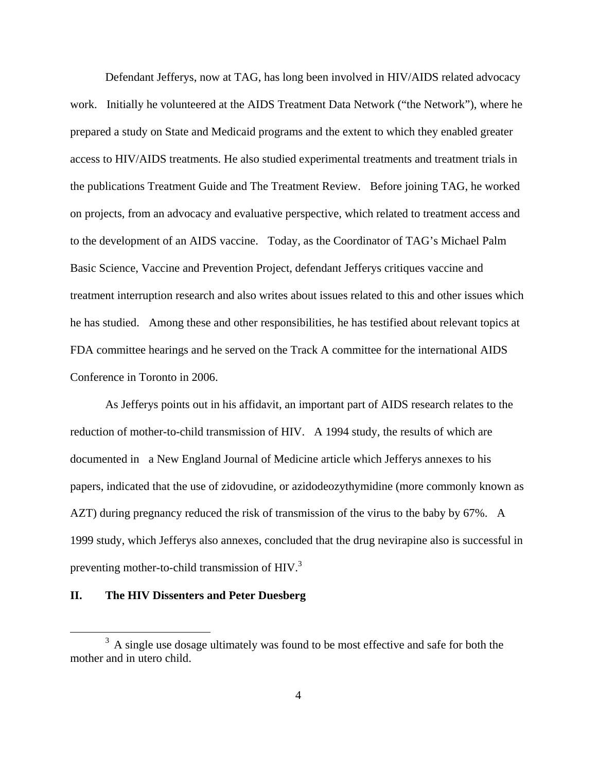Defendant Jefferys, now at TAG, has long been involved in HIV/AIDS related advocacy work. Initially he volunteered at the AIDS Treatment Data Network ("the Network"), where he prepared a study on State and Medicaid programs and the extent to which they enabled greater access to HIV/AIDS treatments. He also studied experimental treatments and treatment trials in the publications Treatment Guide and The Treatment Review. Before joining TAG, he worked on projects, from an advocacy and evaluative perspective, which related to treatment access and to the development of an AIDS vaccine. Today, as the Coordinator of TAG's Michael Palm Basic Science, Vaccine and Prevention Project, defendant Jefferys critiques vaccine and treatment interruption research and also writes about issues related to this and other issues which he has studied. Among these and other responsibilities, he has testified about relevant topics at FDA committee hearings and he served on the Track A committee for the international AIDS Conference in Toronto in 2006.

As Jefferys points out in his affidavit, an important part of AIDS research relates to the reduction of mother-to-child transmission of HIV. A 1994 study, the results of which are documented in a New England Journal of Medicine article which Jefferys annexes to his papers, indicated that the use of zidovudine, or azidodeozythymidine (more commonly known as AZT) during pregnancy reduced the risk of transmission of the virus to the baby by 67%. A 1999 study, which Jefferys also annexes, concluded that the drug nevirapine also is successful in preventing mother-to-child transmission of HIV.<sup>3</sup>

# **II. The HIV Dissenters and Peter Duesberg**

 $\frac{1}{3}$ <sup>3</sup> A single use dosage ultimately was found to be most effective and safe for both the mother and in utero child.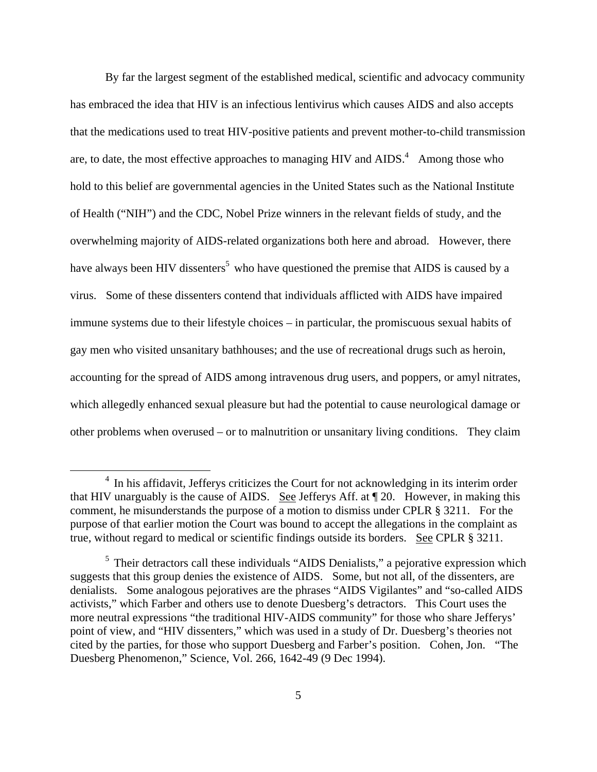By far the largest segment of the established medical, scientific and advocacy community has embraced the idea that HIV is an infectious lentivirus which causes AIDS and also accepts that the medications used to treat HIV-positive patients and prevent mother-to-child transmission are, to date, the most effective approaches to managing HIV and  $AIDS$ .<sup>4</sup> Among those who hold to this belief are governmental agencies in the United States such as the National Institute of Health ("NIH") and the CDC, Nobel Prize winners in the relevant fields of study, and the overwhelming majority of AIDS-related organizations both here and abroad. However, there have always been HIV dissenters<sup>5</sup> who have questioned the premise that AIDS is caused by a virus. Some of these dissenters contend that individuals afflicted with AIDS have impaired immune systems due to their lifestyle choices – in particular, the promiscuous sexual habits of gay men who visited unsanitary bathhouses; and the use of recreational drugs such as heroin, accounting for the spread of AIDS among intravenous drug users, and poppers, or amyl nitrates, which allegedly enhanced sexual pleasure but had the potential to cause neurological damage or other problems when overused – or to malnutrition or unsanitary living conditions. They claim

 $\frac{1}{4}$  $<sup>4</sup>$  In his affidavit, Jefferys criticizes the Court for not acknowledging in its interim order</sup> that HIV unarguably is the cause of AIDS. See Jefferys Aff. at ¶ 20. However, in making this comment, he misunderstands the purpose of a motion to dismiss under CPLR § 3211. For the purpose of that earlier motion the Court was bound to accept the allegations in the complaint as true, without regard to medical or scientific findings outside its borders. See CPLR § 3211.

 $<sup>5</sup>$  Their detractors call these individuals "AIDS Denialists," a pejorative expression which</sup> suggests that this group denies the existence of AIDS. Some, but not all, of the dissenters, are denialists. Some analogous pejoratives are the phrases "AIDS Vigilantes" and "so-called AIDS activists," which Farber and others use to denote Duesberg's detractors. This Court uses the more neutral expressions "the traditional HIV-AIDS community" for those who share Jefferys' point of view, and "HIV dissenters," which was used in a study of Dr. Duesberg's theories not cited by the parties, for those who support Duesberg and Farber's position. Cohen, Jon. "The Duesberg Phenomenon," Science, Vol. 266, 1642-49 (9 Dec 1994).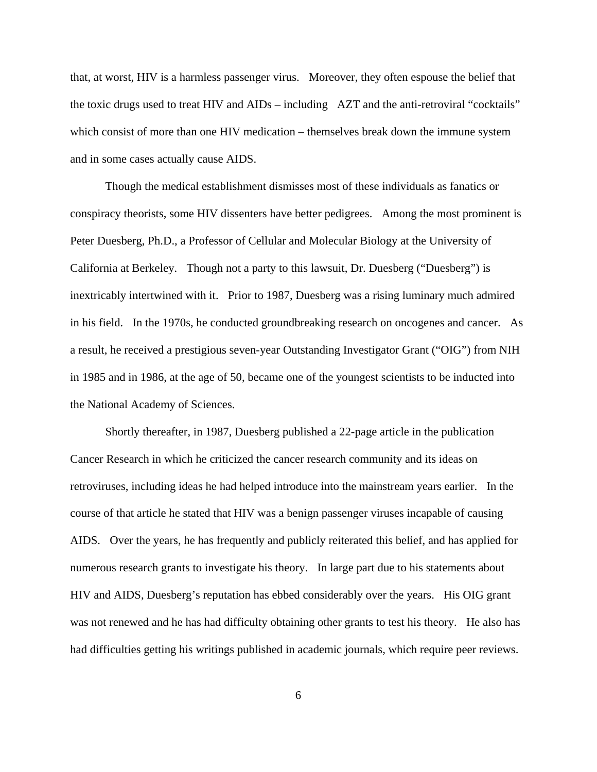that, at worst, HIV is a harmless passenger virus. Moreover, they often espouse the belief that the toxic drugs used to treat HIV and AIDs – including AZT and the anti-retroviral "cocktails" which consist of more than one HIV medication – themselves break down the immune system and in some cases actually cause AIDS.

Though the medical establishment dismisses most of these individuals as fanatics or conspiracy theorists, some HIV dissenters have better pedigrees. Among the most prominent is Peter Duesberg, Ph.D., a Professor of Cellular and Molecular Biology at the University of California at Berkeley. Though not a party to this lawsuit, Dr. Duesberg ("Duesberg") is inextricably intertwined with it. Prior to 1987, Duesberg was a rising luminary much admired in his field. In the 1970s, he conducted groundbreaking research on oncogenes and cancer. As a result, he received a prestigious seven-year Outstanding Investigator Grant ("OIG") from NIH in 1985 and in 1986, at the age of 50, became one of the youngest scientists to be inducted into the National Academy of Sciences.

Shortly thereafter, in 1987, Duesberg published a 22-page article in the publication Cancer Research in which he criticized the cancer research community and its ideas on retroviruses, including ideas he had helped introduce into the mainstream years earlier. In the course of that article he stated that HIV was a benign passenger viruses incapable of causing AIDS. Over the years, he has frequently and publicly reiterated this belief, and has applied for numerous research grants to investigate his theory. In large part due to his statements about HIV and AIDS, Duesberg's reputation has ebbed considerably over the years. His OIG grant was not renewed and he has had difficulty obtaining other grants to test his theory. He also has had difficulties getting his writings published in academic journals, which require peer reviews.

6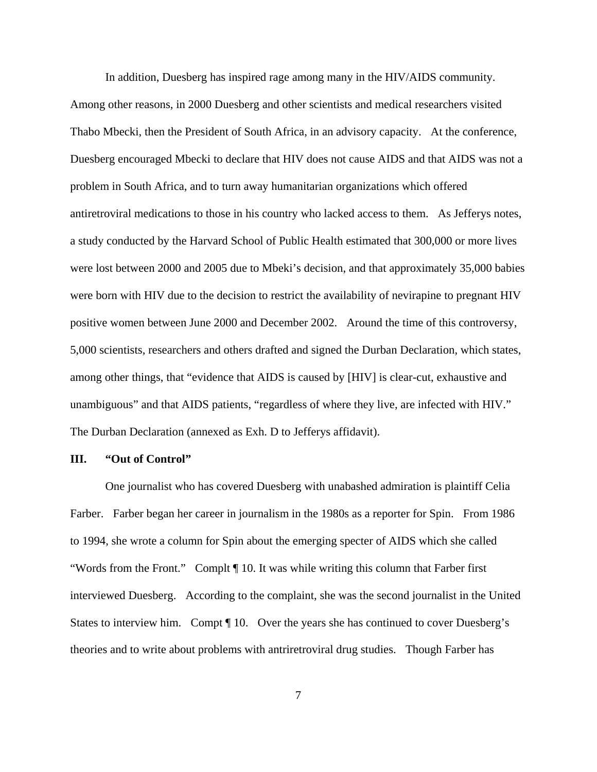In addition, Duesberg has inspired rage among many in the HIV/AIDS community. Among other reasons, in 2000 Duesberg and other scientists and medical researchers visited Thabo Mbecki, then the President of South Africa, in an advisory capacity. At the conference, Duesberg encouraged Mbecki to declare that HIV does not cause AIDS and that AIDS was not a problem in South Africa, and to turn away humanitarian organizations which offered antiretroviral medications to those in his country who lacked access to them. As Jefferys notes, a study conducted by the Harvard School of Public Health estimated that 300,000 or more lives were lost between 2000 and 2005 due to Mbeki's decision, and that approximately 35,000 babies were born with HIV due to the decision to restrict the availability of nevirapine to pregnant HIV positive women between June 2000 and December 2002. Around the time of this controversy, 5,000 scientists, researchers and others drafted and signed the Durban Declaration, which states, among other things, that "evidence that AIDS is caused by [HIV] is clear-cut, exhaustive and unambiguous" and that AIDS patients, "regardless of where they live, are infected with HIV." The Durban Declaration (annexed as Exh. D to Jefferys affidavit).

### **III. "Out of Control"**

One journalist who has covered Duesberg with unabashed admiration is plaintiff Celia Farber. Farber began her career in journalism in the 1980s as a reporter for Spin. From 1986 to 1994, she wrote a column for Spin about the emerging specter of AIDS which she called "Words from the Front." Complt ¶ 10. It was while writing this column that Farber first interviewed Duesberg. According to the complaint, she was the second journalist in the United States to interview him. Compt ¶ 10. Over the years she has continued to cover Duesberg's theories and to write about problems with antriretroviral drug studies. Though Farber has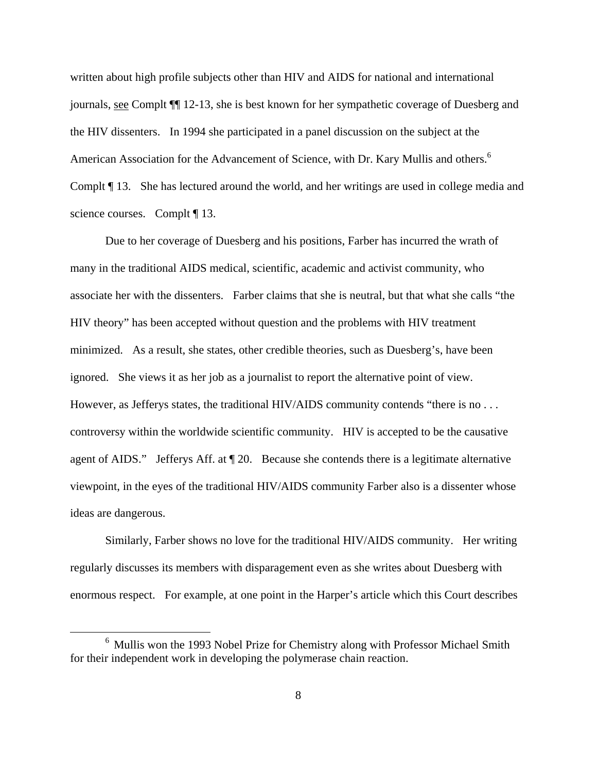written about high profile subjects other than HIV and AIDS for national and international journals, see Complt ¶¶ 12-13, she is best known for her sympathetic coverage of Duesberg and the HIV dissenters. In 1994 she participated in a panel discussion on the subject at the American Association for the Advancement of Science, with Dr. Kary Mullis and others.<sup>6</sup> Complt ¶ 13. She has lectured around the world, and her writings are used in college media and science courses. Complt ¶ 13.

Due to her coverage of Duesberg and his positions, Farber has incurred the wrath of many in the traditional AIDS medical, scientific, academic and activist community, who associate her with the dissenters. Farber claims that she is neutral, but that what she calls "the HIV theory" has been accepted without question and the problems with HIV treatment minimized. As a result, she states, other credible theories, such as Duesberg's, have been ignored. She views it as her job as a journalist to report the alternative point of view. However, as Jefferys states, the traditional HIV/AIDS community contends "there is no . . . controversy within the worldwide scientific community. HIV is accepted to be the causative agent of AIDS." Jefferys Aff. at ¶ 20. Because she contends there is a legitimate alternative viewpoint, in the eyes of the traditional HIV/AIDS community Farber also is a dissenter whose ideas are dangerous.

Similarly, Farber shows no love for the traditional HIV/AIDS community. Her writing regularly discusses its members with disparagement even as she writes about Duesberg with enormous respect. For example, at one point in the Harper's article which this Court describes

 $\begin{array}{c}\n\hline\n\end{array}$ <sup>6</sup> Mullis won the 1993 Nobel Prize for Chemistry along with Professor Michael Smith for their independent work in developing the polymerase chain reaction.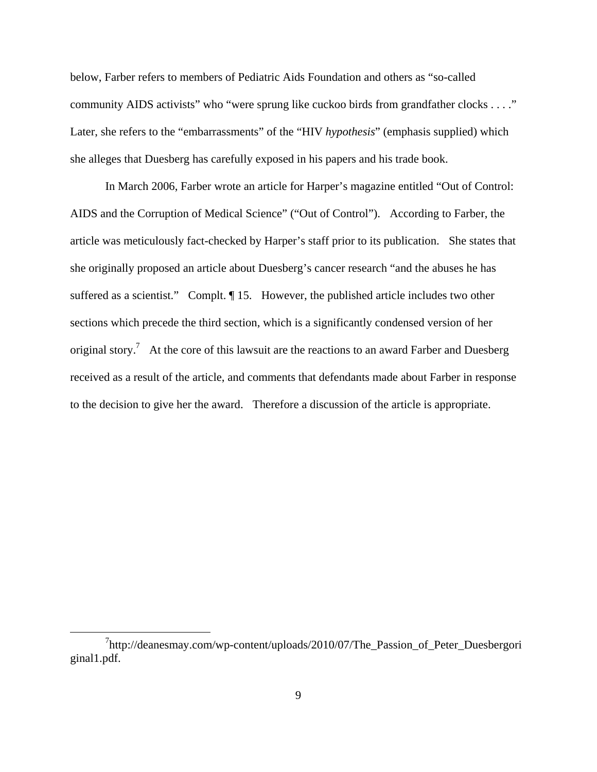below, Farber refers to members of Pediatric Aids Foundation and others as "so-called community AIDS activists" who "were sprung like cuckoo birds from grandfather clocks . . . ." Later, she refers to the "embarrassments" of the "HIV *hypothesis*" (emphasis supplied) which she alleges that Duesberg has carefully exposed in his papers and his trade book.

In March 2006, Farber wrote an article for Harper's magazine entitled "Out of Control: AIDS and the Corruption of Medical Science" ("Out of Control"). According to Farber, the article was meticulously fact-checked by Harper's staff prior to its publication. She states that she originally proposed an article about Duesberg's cancer research "and the abuses he has suffered as a scientist." Complt. ¶ 15. However, the published article includes two other sections which precede the third section, which is a significantly condensed version of her original story.<sup>7</sup> At the core of this lawsuit are the reactions to an award Farber and Duesberg received as a result of the article, and comments that defendants made about Farber in response to the decision to give her the award. Therefore a discussion of the article is appropriate.

 $\frac{1}{7}$ http://deanesmay.com/wp-content/uploads/2010/07/The\_Passion\_of\_Peter\_Duesbergori ginal1.pdf.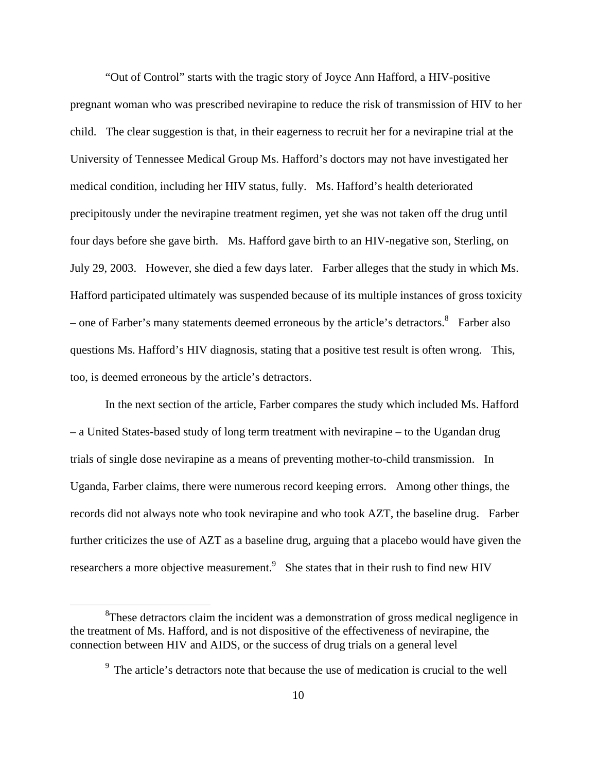"Out of Control" starts with the tragic story of Joyce Ann Hafford, a HIV-positive pregnant woman who was prescribed nevirapine to reduce the risk of transmission of HIV to her child. The clear suggestion is that, in their eagerness to recruit her for a nevirapine trial at the University of Tennessee Medical Group Ms. Hafford's doctors may not have investigated her medical condition, including her HIV status, fully. Ms. Hafford's health deteriorated precipitously under the nevirapine treatment regimen, yet she was not taken off the drug until four days before she gave birth. Ms. Hafford gave birth to an HIV-negative son, Sterling, on July 29, 2003. However, she died a few days later. Farber alleges that the study in which Ms. Hafford participated ultimately was suspended because of its multiple instances of gross toxicity – one of Farber's many statements deemed erroneous by the article's detractors.<sup>8</sup> Farber also questions Ms. Hafford's HIV diagnosis, stating that a positive test result is often wrong. This, too, is deemed erroneous by the article's detractors.

In the next section of the article, Farber compares the study which included Ms. Hafford – a United States-based study of long term treatment with nevirapine – to the Ugandan drug trials of single dose nevirapine as a means of preventing mother-to-child transmission. In Uganda, Farber claims, there were numerous record keeping errors. Among other things, the records did not always note who took nevirapine and who took AZT, the baseline drug. Farber further criticizes the use of AZT as a baseline drug, arguing that a placebo would have given the researchers a more objective measurement.<sup>9</sup> She states that in their rush to find new HIV

 <sup>8</sup>  ${}^{8}$ These detractors claim the incident was a demonstration of gross medical negligence in the treatment of Ms. Hafford, and is not dispositive of the effectiveness of nevirapine, the connection between HIV and AIDS, or the success of drug trials on a general level

<sup>&</sup>lt;sup>9</sup> The article's detractors note that because the use of medication is crucial to the well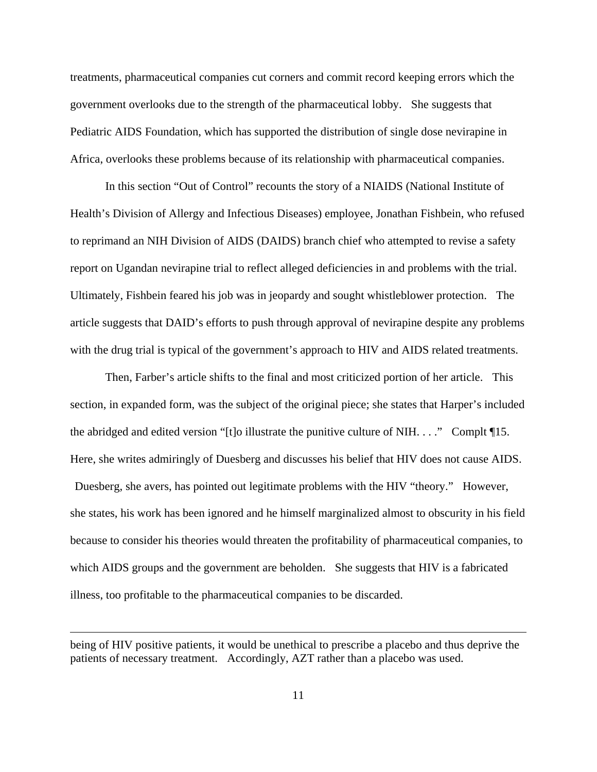treatments, pharmaceutical companies cut corners and commit record keeping errors which the government overlooks due to the strength of the pharmaceutical lobby. She suggests that Pediatric AIDS Foundation, which has supported the distribution of single dose nevirapine in Africa, overlooks these problems because of its relationship with pharmaceutical companies.

In this section "Out of Control" recounts the story of a NIAIDS (National Institute of Health's Division of Allergy and Infectious Diseases) employee, Jonathan Fishbein, who refused to reprimand an NIH Division of AIDS (DAIDS) branch chief who attempted to revise a safety report on Ugandan nevirapine trial to reflect alleged deficiencies in and problems with the trial. Ultimately, Fishbein feared his job was in jeopardy and sought whistleblower protection. The article suggests that DAID's efforts to push through approval of nevirapine despite any problems with the drug trial is typical of the government's approach to HIV and AIDS related treatments.

Then, Farber's article shifts to the final and most criticized portion of her article. This section, in expanded form, was the subject of the original piece; she states that Harper's included the abridged and edited version "[t]o illustrate the punitive culture of NIH. . . ." Complt ¶15. Here, she writes admiringly of Duesberg and discusses his belief that HIV does not cause AIDS. Duesberg, she avers, has pointed out legitimate problems with the HIV "theory." However, she states, his work has been ignored and he himself marginalized almost to obscurity in his field because to consider his theories would threaten the profitability of pharmaceutical companies, to which AIDS groups and the government are beholden. She suggests that HIV is a fabricated illness, too profitable to the pharmaceutical companies to be discarded.

 $\overline{a}$ 

being of HIV positive patients, it would be unethical to prescribe a placebo and thus deprive the patients of necessary treatment. Accordingly, AZT rather than a placebo was used.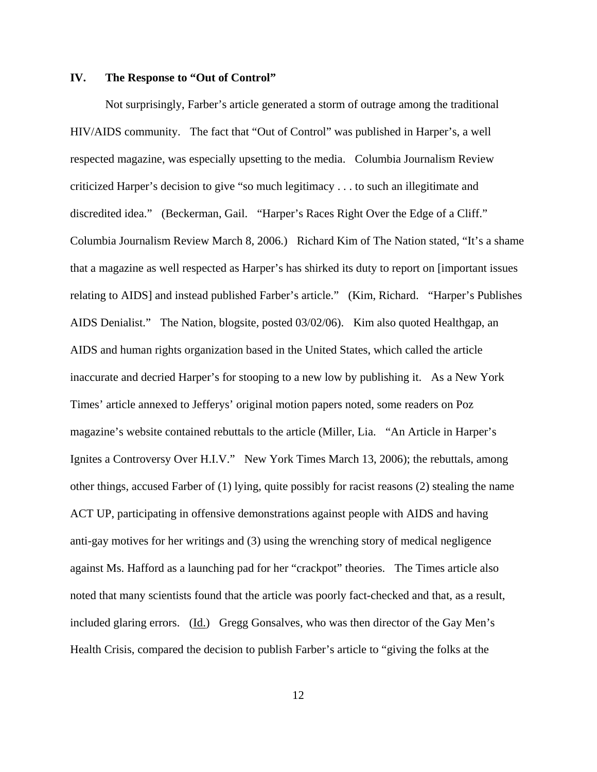## **IV. The Response to "Out of Control"**

Not surprisingly, Farber's article generated a storm of outrage among the traditional HIV/AIDS community. The fact that "Out of Control" was published in Harper's, a well respected magazine, was especially upsetting to the media. Columbia Journalism Review criticized Harper's decision to give "so much legitimacy . . . to such an illegitimate and discredited idea." (Beckerman, Gail. "Harper's Races Right Over the Edge of a Cliff." Columbia Journalism Review March 8, 2006.) Richard Kim of The Nation stated, "It's a shame that a magazine as well respected as Harper's has shirked its duty to report on [important issues relating to AIDS] and instead published Farber's article." (Kim, Richard. "Harper's Publishes AIDS Denialist." The Nation, blogsite, posted 03/02/06). Kim also quoted Healthgap, an AIDS and human rights organization based in the United States, which called the article inaccurate and decried Harper's for stooping to a new low by publishing it. As a New York Times' article annexed to Jefferys' original motion papers noted, some readers on Poz magazine's website contained rebuttals to the article (Miller, Lia. "An Article in Harper's Ignites a Controversy Over H.I.V." New York Times March 13, 2006); the rebuttals, among other things, accused Farber of (1) lying, quite possibly for racist reasons (2) stealing the name ACT UP, participating in offensive demonstrations against people with AIDS and having anti-gay motives for her writings and (3) using the wrenching story of medical negligence against Ms. Hafford as a launching pad for her "crackpot" theories. The Times article also noted that many scientists found that the article was poorly fact-checked and that, as a result, included glaring errors. (Id.) Gregg Gonsalves, who was then director of the Gay Men's Health Crisis, compared the decision to publish Farber's article to "giving the folks at the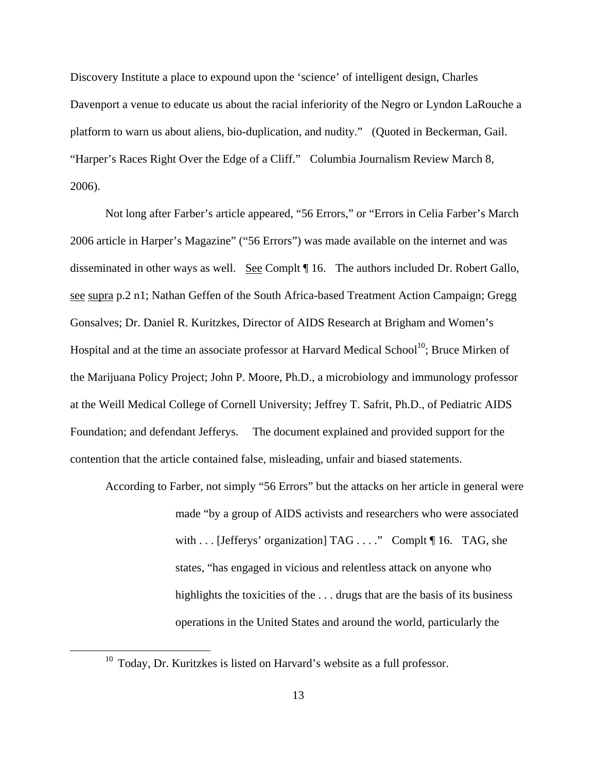Discovery Institute a place to expound upon the 'science' of intelligent design, Charles Davenport a venue to educate us about the racial inferiority of the Negro or Lyndon LaRouche a platform to warn us about aliens, bio-duplication, and nudity." (Quoted in Beckerman, Gail. "Harper's Races Right Over the Edge of a Cliff." Columbia Journalism Review March 8, 2006).

Not long after Farber's article appeared, "56 Errors," or "Errors in Celia Farber's March 2006 article in Harper's Magazine" ("56 Errors") was made available on the internet and was disseminated in other ways as well. See Complt 16. The authors included Dr. Robert Gallo, see supra p.2 n1; Nathan Geffen of the South Africa-based Treatment Action Campaign; Gregg Gonsalves; Dr. Daniel R. Kuritzkes, Director of AIDS Research at Brigham and Women's Hospital and at the time an associate professor at Harvard Medical School<sup>10</sup>; Bruce Mirken of the Marijuana Policy Project; John P. Moore, Ph.D., a microbiology and immunology professor at the Weill Medical College of Cornell University; Jeffrey T. Safrit, Ph.D., of Pediatric AIDS Foundation; and defendant Jefferys. The document explained and provided support for the contention that the article contained false, misleading, unfair and biased statements.

According to Farber, not simply "56 Errors" but the attacks on her article in general were made "by a group of AIDS activists and researchers who were associated with . . . [Jefferys' organization] TAG . . . ." Complt ¶ 16. TAG, she states, "has engaged in vicious and relentless attack on anyone who highlights the toxicities of the ... drugs that are the basis of its business operations in the United States and around the world, particularly the

 $10$  Today, Dr. Kuritzkes is listed on Harvard's website as a full professor.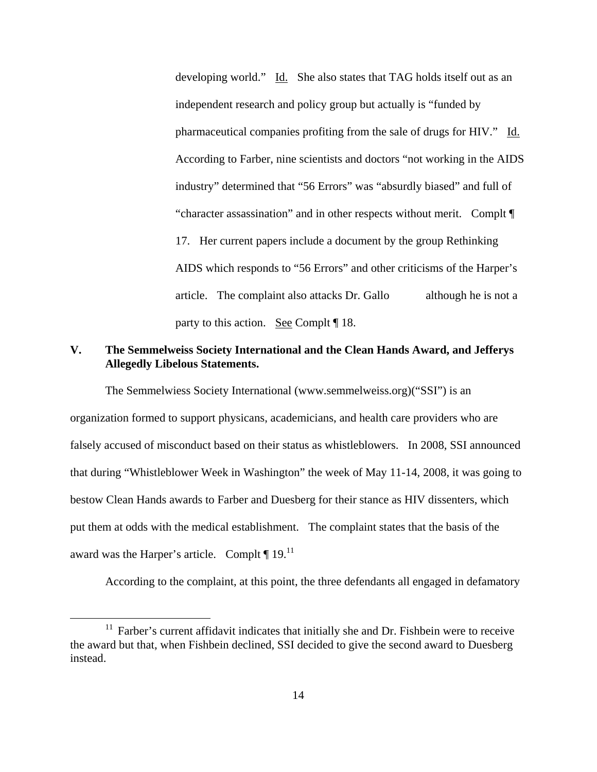developing world." Id. She also states that TAG holds itself out as an independent research and policy group but actually is "funded by pharmaceutical companies profiting from the sale of drugs for HIV." Id. According to Farber, nine scientists and doctors "not working in the AIDS industry" determined that "56 Errors" was "absurdly biased" and full of "character assassination" and in other respects without merit. Complt ¶ 17. Her current papers include a document by the group Rethinking AIDS which responds to "56 Errors" and other criticisms of the Harper's article. The complaint also attacks Dr. Gallo although he is not a party to this action. See Complt ¶ 18.

# **V. The Semmelweiss Society International and the Clean Hands Award, and Jefferys Allegedly Libelous Statements.**

The Semmelwiess Society International (www.semmelweiss.org)("SSI") is an organization formed to support physicans, academicians, and health care providers who are falsely accused of misconduct based on their status as whistleblowers. In 2008, SSI announced that during "Whistleblower Week in Washington" the week of May 11-14, 2008, it was going to bestow Clean Hands awards to Farber and Duesberg for their stance as HIV dissenters, which put them at odds with the medical establishment. The complaint states that the basis of the award was the Harper's article. Complt  $\P$  19.<sup>11</sup>

According to the complaint, at this point, the three defendants all engaged in defamatory

 $11$  Farber's current affidavit indicates that initially she and Dr. Fishbein were to receive the award but that, when Fishbein declined, SSI decided to give the second award to Duesberg instead.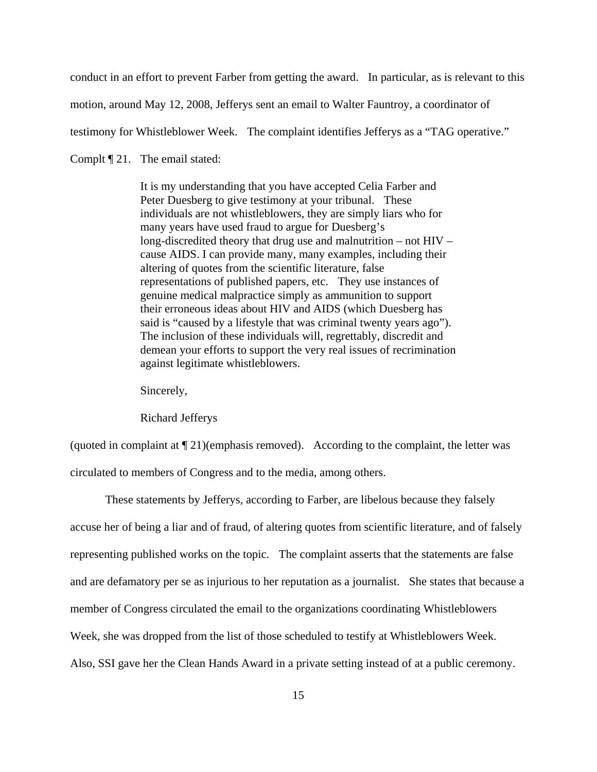conduct in an effort to prevent Farber from getting the award. In particular, as is relevant to this

motion, around May 12, 2008, Jefferys sent an email to Walter Fauntroy, a coordinator of

testimony for Whistleblower Week. The complaint identifies Jefferys as a "TAG operative."

Complt ¶ 21. The email stated:

It is my understanding that you have accepted Celia Farber and Peter Duesberg to give testimony at your tribunal. These individuals are not whistleblowers, they are simply liars who for many years have used fraud to argue for Duesberg's long-discredited theory that drug use and malnutrition – not HIV – cause AIDS. I can provide many, many examples, including their altering of quotes from the scientific literature, false representations of published papers, etc. They use instances of genuine medical malpractice simply as ammunition to support their erroneous ideas about HIV and AIDS (which Duesberg has said is "caused by a lifestyle that was criminal twenty years ago"). The inclusion of these individuals will, regrettably, discredit and demean your efforts to support the very real issues of recrimination against legitimate whistleblowers.

Sincerely,

Richard Jefferys

(quoted in complaint at  $\P$  21)(emphasis removed). According to the complaint, the letter was circulated to members of Congress and to the media, among others.

These statements by Jefferys, according to Farber, are libelous because they falsely accuse her of being a liar and of fraud, of altering quotes from scientific literature, and of falsely representing published works on the topic. The complaint asserts that the statements are false and are defamatory per se as injurious to her reputation as a journalist. She states that because a member of Congress circulated the email to the organizations coordinating Whistleblowers Week, she was dropped from the list of those scheduled to testify at Whistleblowers Week. Also, SSI gave her the Clean Hands Award in a private setting instead of at a public ceremony.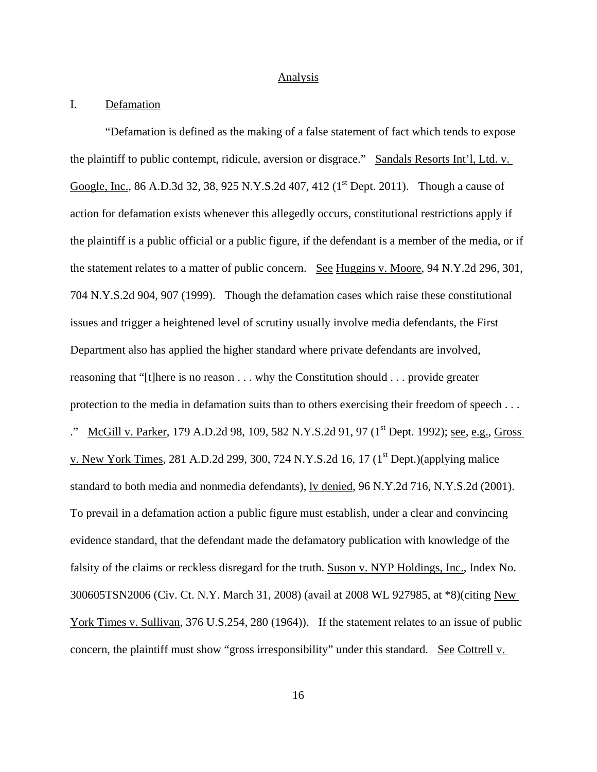### **Analysis**

## I. Defamation

"Defamation is defined as the making of a false statement of fact which tends to expose the plaintiff to public contempt, ridicule, aversion or disgrace." Sandals Resorts Int'l, Ltd. v. Google, Inc., 86 A.D.3d 32, 38, 925 N.Y.S.2d 407, 412 (1<sup>st</sup> Dept. 2011). Though a cause of action for defamation exists whenever this allegedly occurs, constitutional restrictions apply if the plaintiff is a public official or a public figure, if the defendant is a member of the media, or if the statement relates to a matter of public concern. See Huggins v. Moore, 94 N.Y.2d 296, 301, 704 N.Y.S.2d 904, 907 (1999). Though the defamation cases which raise these constitutional issues and trigger a heightened level of scrutiny usually involve media defendants, the First Department also has applied the higher standard where private defendants are involved, reasoning that "[t]here is no reason . . . why the Constitution should . . . provide greater protection to the media in defamation suits than to others exercising their freedom of speech . . . ." McGill v. Parker, 179 A.D.2d 98, 109, 582 N.Y.S.2d 91, 97 (1<sup>st</sup> Dept. 1992); see, e.g., Gross v. New York Times, 281 A.D.2d 299, 300, 724 N.Y.S.2d 16, 17  $(1<sup>st</sup>$  Dept.)(applying malice standard to both media and nonmedia defendants), lv denied, 96 N.Y.2d 716, N.Y.S.2d (2001). To prevail in a defamation action a public figure must establish, under a clear and convincing evidence standard, that the defendant made the defamatory publication with knowledge of the falsity of the claims or reckless disregard for the truth. Suson v. NYP Holdings, Inc., Index No. 300605TSN2006 (Civ. Ct. N.Y. March 31, 2008) (avail at 2008 WL 927985, at \*8)(citing New York Times v. Sullivan, 376 U.S.254, 280 (1964)). If the statement relates to an issue of public concern, the plaintiff must show "gross irresponsibility" under this standard. See Cottrell v.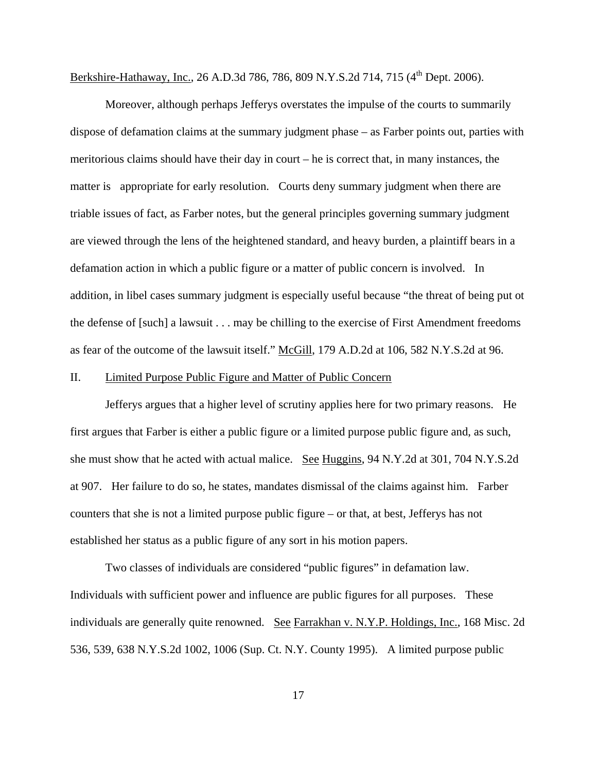Berkshire-Hathaway, Inc., 26 A.D.3d 786, 786, 809 N.Y.S.2d 714, 715 (4<sup>th</sup> Dept. 2006).

Moreover, although perhaps Jefferys overstates the impulse of the courts to summarily dispose of defamation claims at the summary judgment phase – as Farber points out, parties with meritorious claims should have their day in court – he is correct that, in many instances, the matter is appropriate for early resolution. Courts deny summary judgment when there are triable issues of fact, as Farber notes, but the general principles governing summary judgment are viewed through the lens of the heightened standard, and heavy burden, a plaintiff bears in a defamation action in which a public figure or a matter of public concern is involved. In addition, in libel cases summary judgment is especially useful because "the threat of being put ot the defense of [such] a lawsuit . . . may be chilling to the exercise of First Amendment freedoms as fear of the outcome of the lawsuit itself." McGill, 179 A.D.2d at 106, 582 N.Y.S.2d at 96.

## II. Limited Purpose Public Figure and Matter of Public Concern

Jefferys argues that a higher level of scrutiny applies here for two primary reasons. He first argues that Farber is either a public figure or a limited purpose public figure and, as such, she must show that he acted with actual malice. See Huggins, 94 N.Y.2d at 301, 704 N.Y.S.2d at 907. Her failure to do so, he states, mandates dismissal of the claims against him. Farber counters that she is not a limited purpose public figure – or that, at best, Jefferys has not established her status as a public figure of any sort in his motion papers.

Two classes of individuals are considered "public figures" in defamation law. Individuals with sufficient power and influence are public figures for all purposes. These individuals are generally quite renowned. See Farrakhan v. N.Y.P. Holdings, Inc., 168 Misc. 2d 536, 539, 638 N.Y.S.2d 1002, 1006 (Sup. Ct. N.Y. County 1995). A limited purpose public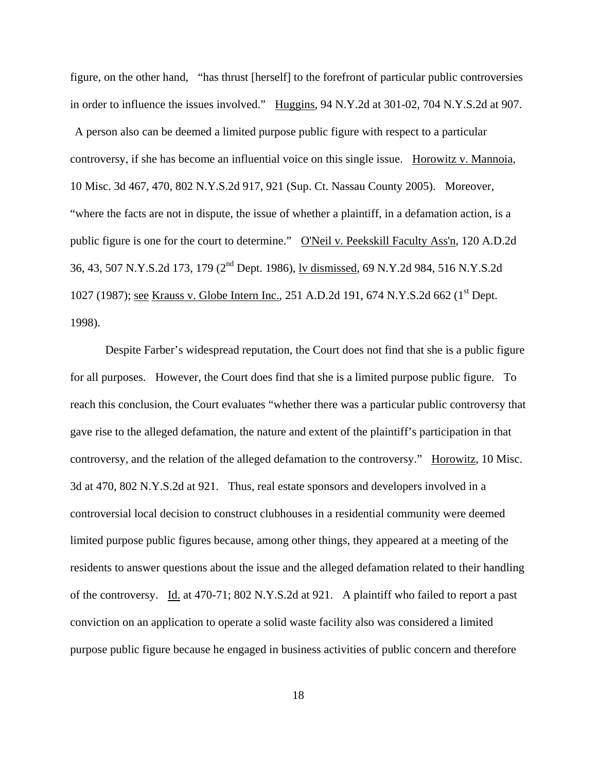figure, on the other hand, "has thrust [herself] to the forefront of particular public controversies in order to influence the issues involved." Huggins, 94 N.Y.2d at 301-02, 704 N.Y.S.2d at 907.

 A person also can be deemed a limited purpose public figure with respect to a particular controversy, if she has become an influential voice on this single issue. Horowitz v. Mannoia, 10 Misc. 3d 467, 470, 802 N.Y.S.2d 917, 921 (Sup. Ct. Nassau County 2005). Moreover, "where the facts are not in dispute, the issue of whether a plaintiff, in a defamation action, is a public figure is one for the court to determine." O'Neil v. Peekskill Faculty Ass'n, 120 A.D.2d 36, 43, 507 N.Y.S.2d 173, 179 (2nd Dept. 1986), lv dismissed, 69 N.Y.2d 984, 516 N.Y.S.2d 1027 (1987); see Krauss v. Globe Intern Inc., 251 A.D.2d 191, 674 N.Y.S.2d 662 (1<sup>st</sup> Dept.) 1998).

Despite Farber's widespread reputation, the Court does not find that she is a public figure for all purposes. However, the Court does find that she is a limited purpose public figure. To reach this conclusion, the Court evaluates "whether there was a particular public controversy that gave rise to the alleged defamation, the nature and extent of the plaintiff's participation in that controversy, and the relation of the alleged defamation to the controversy." Horowitz, 10 Misc. 3d at 470, 802 N.Y.S.2d at 921. Thus, real estate sponsors and developers involved in a controversial local decision to construct clubhouses in a residential community were deemed limited purpose public figures because, among other things, they appeared at a meeting of the residents to answer questions about the issue and the alleged defamation related to their handling of the controversy. Id. at 470-71; 802 N.Y.S.2d at 921. A plaintiff who failed to report a past conviction on an application to operate a solid waste facility also was considered a limited purpose public figure because he engaged in business activities of public concern and therefore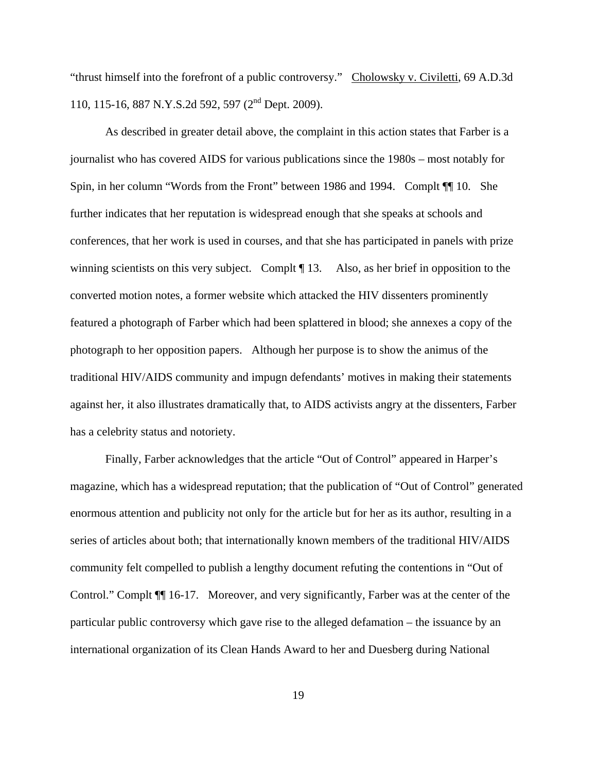"thrust himself into the forefront of a public controversy." Cholowsky v. Civiletti, 69 A.D.3d 110, 115-16, 887 N.Y.S.2d 592, 597 (2nd Dept. 2009).

As described in greater detail above, the complaint in this action states that Farber is a journalist who has covered AIDS for various publications since the 1980s – most notably for Spin, in her column "Words from the Front" between 1986 and 1994. Complt ¶¶ 10. She further indicates that her reputation is widespread enough that she speaks at schools and conferences, that her work is used in courses, and that she has participated in panels with prize winning scientists on this very subject. Complt ¶ 13. Also, as her brief in opposition to the converted motion notes, a former website which attacked the HIV dissenters prominently featured a photograph of Farber which had been splattered in blood; she annexes a copy of the photograph to her opposition papers. Although her purpose is to show the animus of the traditional HIV/AIDS community and impugn defendants' motives in making their statements against her, it also illustrates dramatically that, to AIDS activists angry at the dissenters, Farber has a celebrity status and notoriety.

Finally, Farber acknowledges that the article "Out of Control" appeared in Harper's magazine, which has a widespread reputation; that the publication of "Out of Control" generated enormous attention and publicity not only for the article but for her as its author, resulting in a series of articles about both; that internationally known members of the traditional HIV/AIDS community felt compelled to publish a lengthy document refuting the contentions in "Out of Control." Complt ¶¶ 16-17. Moreover, and very significantly, Farber was at the center of the particular public controversy which gave rise to the alleged defamation – the issuance by an international organization of its Clean Hands Award to her and Duesberg during National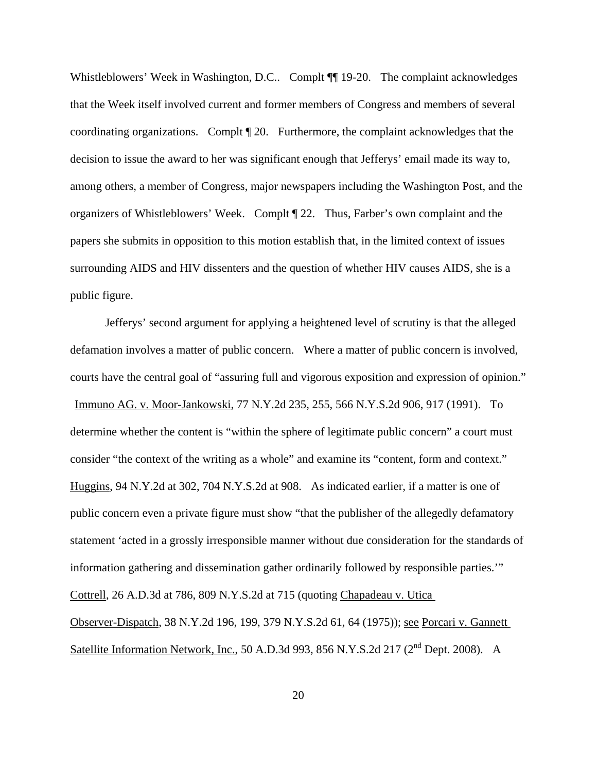Whistleblowers' Week in Washington, D.C.. Complt  $\P$  19-20. The complaint acknowledges that the Week itself involved current and former members of Congress and members of several coordinating organizations. Complt ¶ 20. Furthermore, the complaint acknowledges that the decision to issue the award to her was significant enough that Jefferys' email made its way to, among others, a member of Congress, major newspapers including the Washington Post, and the organizers of Whistleblowers' Week. Complt ¶ 22. Thus, Farber's own complaint and the papers she submits in opposition to this motion establish that, in the limited context of issues surrounding AIDS and HIV dissenters and the question of whether HIV causes AIDS, she is a public figure.

Jefferys' second argument for applying a heightened level of scrutiny is that the alleged defamation involves a matter of public concern. Where a matter of public concern is involved, courts have the central goal of "assuring full and vigorous exposition and expression of opinion." Immuno AG. v. Moor-Jankowski, 77 N.Y.2d 235, 255, 566 N.Y.S.2d 906, 917 (1991). To determine whether the content is "within the sphere of legitimate public concern" a court must consider "the context of the writing as a whole" and examine its "content, form and context." Huggins, 94 N.Y.2d at 302, 704 N.Y.S.2d at 908. As indicated earlier, if a matter is one of public concern even a private figure must show "that the publisher of the allegedly defamatory statement 'acted in a grossly irresponsible manner without due consideration for the standards of information gathering and dissemination gather ordinarily followed by responsible parties.'" Cottrell, 26 A.D.3d at 786, 809 N.Y.S.2d at 715 (quoting Chapadeau v. Utica Observer-Dispatch, 38 N.Y.2d 196, 199, 379 N.Y.S.2d 61, 64 (1975)); see Porcari v. Gannett Satellite Information Network, Inc., 50 A.D.3d 993, 856 N.Y.S.2d 217 (2<sup>nd</sup> Dept. 2008). A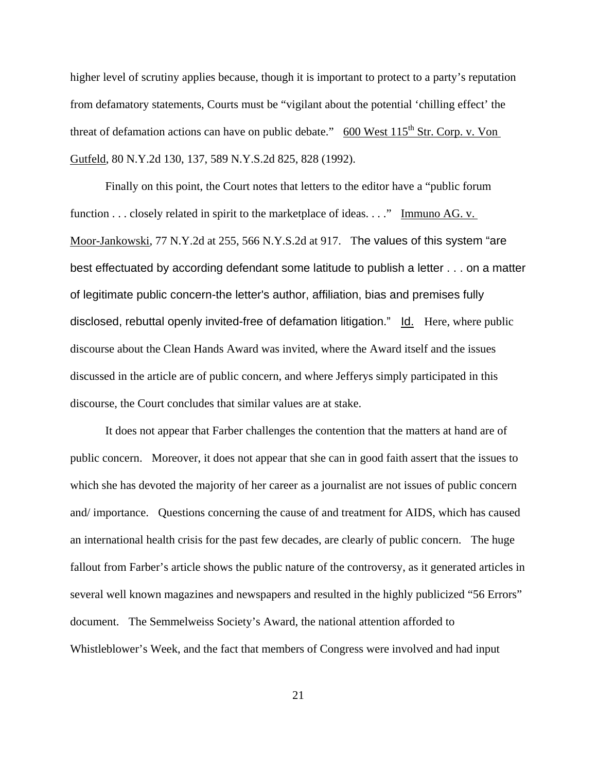higher level of scrutiny applies because, though it is important to protect to a party's reputation from defamatory statements, Courts must be "vigilant about the potential 'chilling effect' the threat of defamation actions can have on public debate." 600 West  $115^{th}$  Str. Corp. v. Von Gutfeld, 80 N.Y.2d 130, 137, 589 N.Y.S.2d 825, 828 (1992).

Finally on this point, the Court notes that letters to the editor have a "public forum function . . . closely related in spirit to the marketplace of ideas. . . ." Immuno AG. v. Moor-Jankowski, 77 N.Y.2d at 255, 566 N.Y.S.2d at 917. The values of this system "are best effectuated by according defendant some latitude to publish a letter . . . on a matter of legitimate public concern-the letter's author, affiliation, bias and premises fully disclosed, rebuttal openly invited-free of defamation litigation." Id. Here, where public discourse about the Clean Hands Award was invited, where the Award itself and the issues discussed in the article are of public concern, and where Jefferys simply participated in this discourse, the Court concludes that similar values are at stake.

It does not appear that Farber challenges the contention that the matters at hand are of public concern. Moreover, it does not appear that she can in good faith assert that the issues to which she has devoted the majority of her career as a journalist are not issues of public concern and/ importance. Questions concerning the cause of and treatment for AIDS, which has caused an international health crisis for the past few decades, are clearly of public concern. The huge fallout from Farber's article shows the public nature of the controversy, as it generated articles in several well known magazines and newspapers and resulted in the highly publicized "56 Errors" document. The Semmelweiss Society's Award, the national attention afforded to Whistleblower's Week, and the fact that members of Congress were involved and had input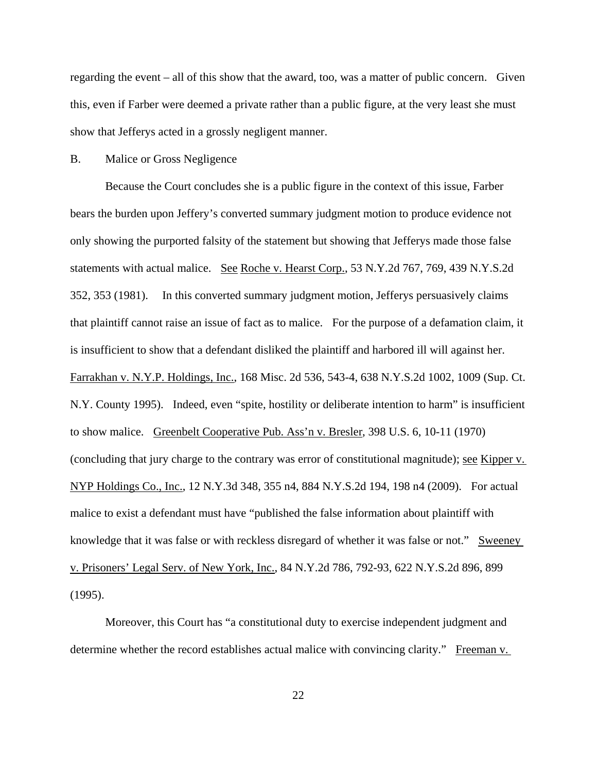regarding the event – all of this show that the award, too, was a matter of public concern. Given this, even if Farber were deemed a private rather than a public figure, at the very least she must show that Jefferys acted in a grossly negligent manner.

## B. Malice or Gross Negligence

Because the Court concludes she is a public figure in the context of this issue, Farber bears the burden upon Jeffery's converted summary judgment motion to produce evidence not only showing the purported falsity of the statement but showing that Jefferys made those false statements with actual malice. See Roche v. Hearst Corp., 53 N.Y.2d 767, 769, 439 N.Y.S.2d 352, 353 (1981). In this converted summary judgment motion, Jefferys persuasively claims that plaintiff cannot raise an issue of fact as to malice. For the purpose of a defamation claim, it is insufficient to show that a defendant disliked the plaintiff and harbored ill will against her. Farrakhan v. N.Y.P. Holdings, Inc., 168 Misc. 2d 536, 543-4, 638 N.Y.S.2d 1002, 1009 (Sup. Ct. N.Y. County 1995). Indeed, even "spite, hostility or deliberate intention to harm" is insufficient to show malice. Greenbelt Cooperative Pub. Ass'n v. Bresler, 398 U.S. 6, 10-11 (1970) (concluding that jury charge to the contrary was error of constitutional magnitude); see Kipper v. NYP Holdings Co., Inc., 12 N.Y.3d 348, 355 n4, 884 N.Y.S.2d 194, 198 n4 (2009). For actual malice to exist a defendant must have "published the false information about plaintiff with knowledge that it was false or with reckless disregard of whether it was false or not." Sweeney v. Prisoners' Legal Serv. of New York, Inc., 84 N.Y.2d 786, 792-93, 622 N.Y.S.2d 896, 899 (1995).

Moreover, this Court has "a constitutional duty to exercise independent judgment and determine whether the record establishes actual malice with convincing clarity." Freeman v.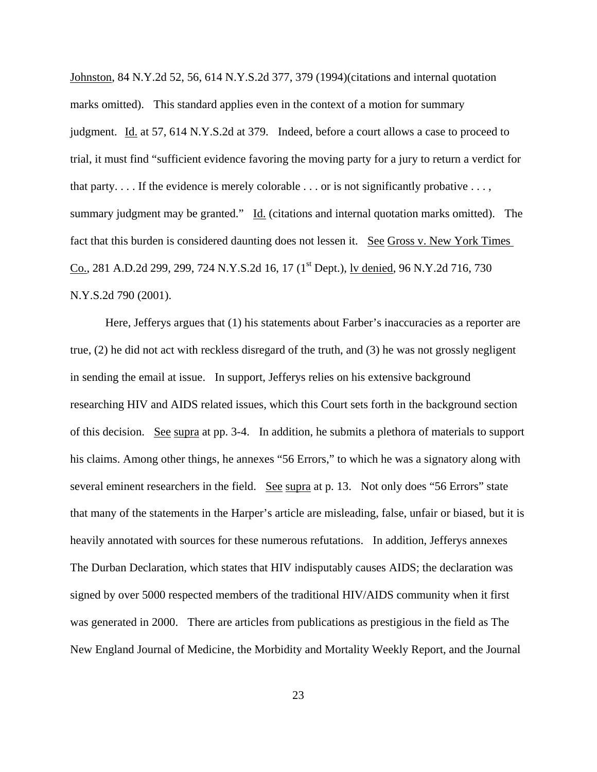Johnston, 84 N.Y.2d 52, 56, 614 N.Y.S.2d 377, 379 (1994)(citations and internal quotation marks omitted). This standard applies even in the context of a motion for summary judgment. Id. at 57, 614 N.Y.S.2d at 379. Indeed, before a court allows a case to proceed to trial, it must find "sufficient evidence favoring the moving party for a jury to return a verdict for that party.  $\dots$  If the evidence is merely colorable  $\dots$  or is not significantly probative  $\dots$ , summary judgment may be granted." Id. (citations and internal quotation marks omitted). The fact that this burden is considered daunting does not lessen it. See Gross v. New York Times Co., 281 A.D.2d 299, 299, 724 N.Y.S.2d 16, 17 (1<sup>st</sup> Dept.), <u>lv denied</u>, 96 N.Y.2d 716, 730 N.Y.S.2d 790 (2001).

Here, Jefferys argues that (1) his statements about Farber's inaccuracies as a reporter are true, (2) he did not act with reckless disregard of the truth, and (3) he was not grossly negligent in sending the email at issue. In support, Jefferys relies on his extensive background researching HIV and AIDS related issues, which this Court sets forth in the background section of this decision. See supra at pp. 3-4. In addition, he submits a plethora of materials to support his claims. Among other things, he annexes "56 Errors," to which he was a signatory along with several eminent researchers in the field. See supra at p. 13. Not only does "56 Errors" state that many of the statements in the Harper's article are misleading, false, unfair or biased, but it is heavily annotated with sources for these numerous refutations. In addition, Jefferys annexes The Durban Declaration, which states that HIV indisputably causes AIDS; the declaration was signed by over 5000 respected members of the traditional HIV/AIDS community when it first was generated in 2000. There are articles from publications as prestigious in the field as The New England Journal of Medicine, the Morbidity and Mortality Weekly Report, and the Journal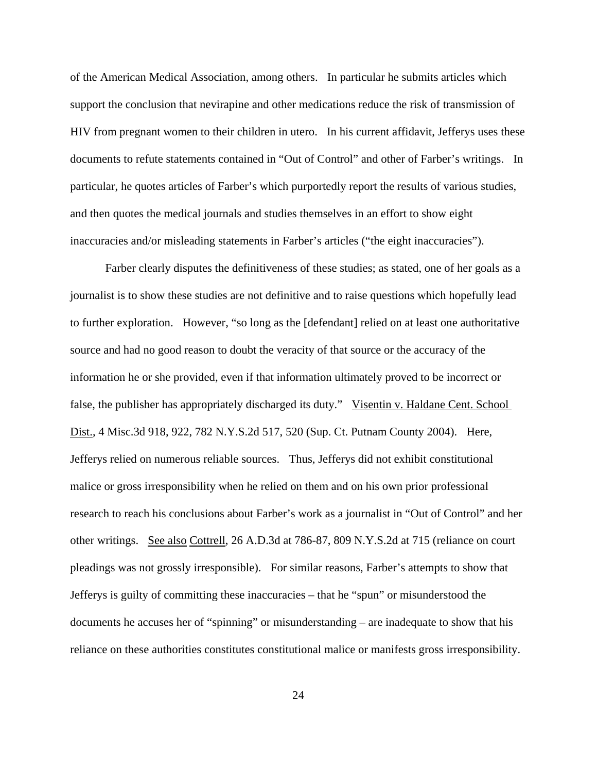of the American Medical Association, among others. In particular he submits articles which support the conclusion that nevirapine and other medications reduce the risk of transmission of HIV from pregnant women to their children in utero. In his current affidavit, Jefferys uses these documents to refute statements contained in "Out of Control" and other of Farber's writings. In particular, he quotes articles of Farber's which purportedly report the results of various studies, and then quotes the medical journals and studies themselves in an effort to show eight inaccuracies and/or misleading statements in Farber's articles ("the eight inaccuracies").

Farber clearly disputes the definitiveness of these studies; as stated, one of her goals as a journalist is to show these studies are not definitive and to raise questions which hopefully lead to further exploration. However, "so long as the [defendant] relied on at least one authoritative source and had no good reason to doubt the veracity of that source or the accuracy of the information he or she provided, even if that information ultimately proved to be incorrect or false, the publisher has appropriately discharged its duty." Visentin v. Haldane Cent. School Dist., 4 Misc.3d 918, 922, 782 N.Y.S.2d 517, 520 (Sup. Ct. Putnam County 2004). Here, Jefferys relied on numerous reliable sources. Thus, Jefferys did not exhibit constitutional malice or gross irresponsibility when he relied on them and on his own prior professional research to reach his conclusions about Farber's work as a journalist in "Out of Control" and her other writings. See also Cottrell, 26 A.D.3d at 786-87, 809 N.Y.S.2d at 715 (reliance on court pleadings was not grossly irresponsible). For similar reasons, Farber's attempts to show that Jefferys is guilty of committing these inaccuracies – that he "spun" or misunderstood the documents he accuses her of "spinning" or misunderstanding – are inadequate to show that his reliance on these authorities constitutes constitutional malice or manifests gross irresponsibility.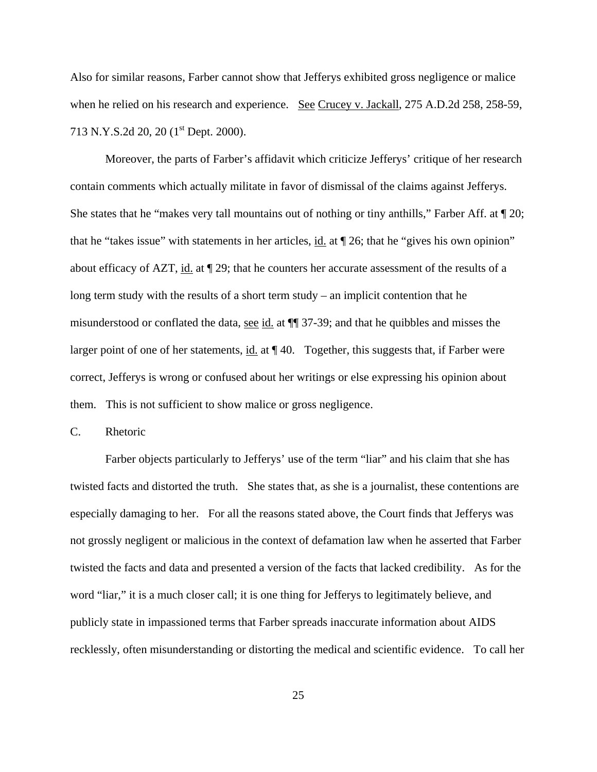Also for similar reasons, Farber cannot show that Jefferys exhibited gross negligence or malice when he relied on his research and experience. See Crucey v. Jackall, 275 A.D.2d 258, 258-59, 713 N.Y.S.2d 20, 20 (1<sup>st</sup> Dept. 2000).

Moreover, the parts of Farber's affidavit which criticize Jefferys' critique of her research contain comments which actually militate in favor of dismissal of the claims against Jefferys. She states that he "makes very tall mountains out of nothing or tiny anthills," Farber Aff. at ¶ 20; that he "takes issue" with statements in her articles,  $\underline{\text{id}}$ . at  $\P$  26; that he "gives his own opinion" about efficacy of AZT, id. at ¶ 29; that he counters her accurate assessment of the results of a long term study with the results of a short term study – an implicit contention that he misunderstood or conflated the data, see id. at ¶¶ 37-39; and that he quibbles and misses the larger point of one of her statements,  $id$  at  $\P$  40. Together, this suggests that, if Farber were correct, Jefferys is wrong or confused about her writings or else expressing his opinion about them. This is not sufficient to show malice or gross negligence.

C. Rhetoric

Farber objects particularly to Jefferys' use of the term "liar" and his claim that she has twisted facts and distorted the truth. She states that, as she is a journalist, these contentions are especially damaging to her. For all the reasons stated above, the Court finds that Jefferys was not grossly negligent or malicious in the context of defamation law when he asserted that Farber twisted the facts and data and presented a version of the facts that lacked credibility. As for the word "liar," it is a much closer call; it is one thing for Jefferys to legitimately believe, and publicly state in impassioned terms that Farber spreads inaccurate information about AIDS recklessly, often misunderstanding or distorting the medical and scientific evidence. To call her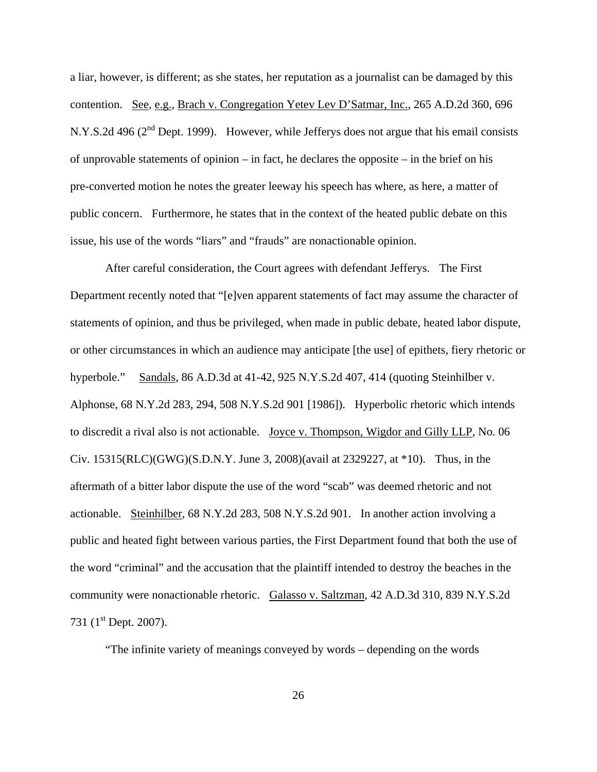a liar, however, is different; as she states, her reputation as a journalist can be damaged by this contention. See, e.g., Brach v. Congregation Yetev Lev D'Satmar, Inc., 265 A.D.2d 360, 696 N.Y.S.2d 496 ( $2<sup>nd</sup>$  Dept. 1999). However, while Jefferys does not argue that his email consists of unprovable statements of opinion – in fact, he declares the opposite – in the brief on his pre-converted motion he notes the greater leeway his speech has where, as here, a matter of public concern. Furthermore, he states that in the context of the heated public debate on this issue, his use of the words "liars" and "frauds" are nonactionable opinion.

After careful consideration, the Court agrees with defendant Jefferys. The First Department recently noted that "[e]ven apparent statements of fact may assume the character of statements of opinion, and thus be privileged, when made in public debate, heated labor dispute, or other circumstances in which an audience may anticipate [the use] of epithets, fiery rhetoric or hyperbole." Sandals, 86 A.D.3d at 41-42, 925 N.Y.S.2d 407, 414 (quoting Steinhilber v. Alphonse, 68 N.Y.2d 283, 294, 508 N.Y.S.2d 901 [1986]). Hyperbolic rhetoric which intends to discredit a rival also is not actionable. Joyce v. Thompson, Wigdor and Gilly LLP, No. 06 Civ. 15315(RLC)(GWG)(S.D.N.Y. June 3, 2008)(avail at 2329227, at \*10). Thus, in the aftermath of a bitter labor dispute the use of the word "scab" was deemed rhetoric and not actionable. Steinhilber, 68 N.Y.2d 283, 508 N.Y.S.2d 901. In another action involving a public and heated fight between various parties, the First Department found that both the use of the word "criminal" and the accusation that the plaintiff intended to destroy the beaches in the community were nonactionable rhetoric. Galasso v. Saltzman, 42 A.D.3d 310, 839 N.Y.S.2d 731 (1<sup>st</sup> Dept. 2007).

"The infinite variety of meanings conveyed by words – depending on the words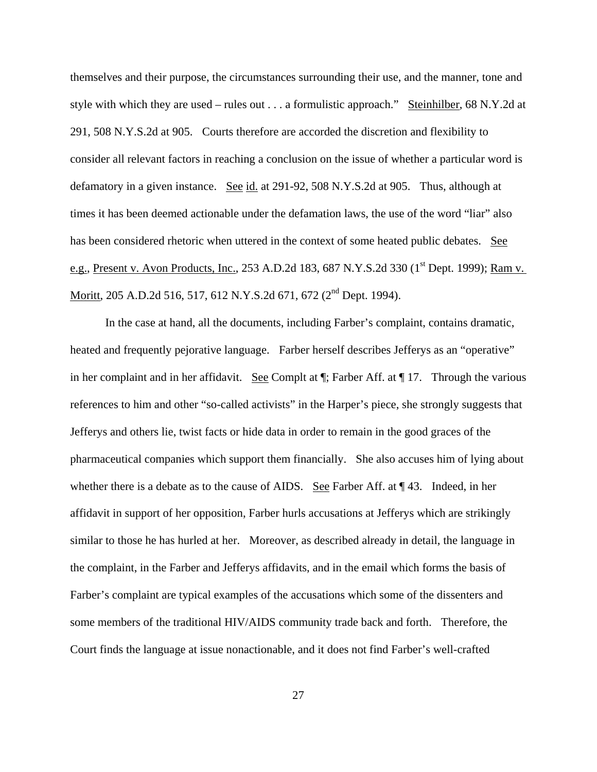themselves and their purpose, the circumstances surrounding their use, and the manner, tone and style with which they are used – rules out . . . a formulistic approach." Steinhilber, 68 N.Y.2d at 291, 508 N.Y.S.2d at 905. Courts therefore are accorded the discretion and flexibility to consider all relevant factors in reaching a conclusion on the issue of whether a particular word is defamatory in a given instance. See id. at 291-92, 508 N.Y.S.2d at 905. Thus, although at times it has been deemed actionable under the defamation laws, the use of the word "liar" also has been considered rhetoric when uttered in the context of some heated public debates. See e.g., Present v. Avon Products, Inc., 253 A.D.2d 183, 687 N.Y.S.2d 330 (1<sup>st</sup> Dept. 1999); <u>Ram v.</u> Moritt, 205 A.D.2d 516, 517, 612 N.Y.S.2d 671, 672 (2<sup>nd</sup> Dept. 1994).

In the case at hand, all the documents, including Farber's complaint, contains dramatic, heated and frequently pejorative language. Farber herself describes Jefferys as an "operative" in her complaint and in her affidavit. See Complt at ¶; Farber Aff. at ¶ 17. Through the various references to him and other "so-called activists" in the Harper's piece, she strongly suggests that Jefferys and others lie, twist facts or hide data in order to remain in the good graces of the pharmaceutical companies which support them financially. She also accuses him of lying about whether there is a debate as to the cause of AIDS. See Farber Aff. at ¶ 43. Indeed, in her affidavit in support of her opposition, Farber hurls accusations at Jefferys which are strikingly similar to those he has hurled at her. Moreover, as described already in detail, the language in the complaint, in the Farber and Jefferys affidavits, and in the email which forms the basis of Farber's complaint are typical examples of the accusations which some of the dissenters and some members of the traditional HIV/AIDS community trade back and forth. Therefore, the Court finds the language at issue nonactionable, and it does not find Farber's well-crafted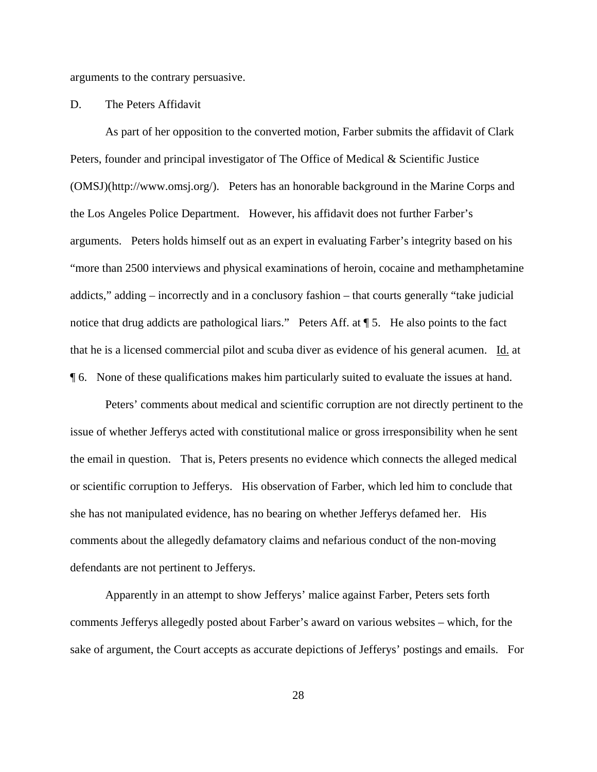arguments to the contrary persuasive.

D. The Peters Affidavit

As part of her opposition to the converted motion, Farber submits the affidavit of Clark Peters, founder and principal investigator of The Office of Medical & Scientific Justice (OMSJ)(http://www.omsj.org/). Peters has an honorable background in the Marine Corps and the Los Angeles Police Department. However, his affidavit does not further Farber's arguments. Peters holds himself out as an expert in evaluating Farber's integrity based on his "more than 2500 interviews and physical examinations of heroin, cocaine and methamphetamine addicts," adding – incorrectly and in a conclusory fashion – that courts generally "take judicial notice that drug addicts are pathological liars." Peters Aff. at  $\P$  5. He also points to the fact that he is a licensed commercial pilot and scuba diver as evidence of his general acumen. Id. at ¶ 6. None of these qualifications makes him particularly suited to evaluate the issues at hand.

Peters' comments about medical and scientific corruption are not directly pertinent to the issue of whether Jefferys acted with constitutional malice or gross irresponsibility when he sent the email in question. That is, Peters presents no evidence which connects the alleged medical or scientific corruption to Jefferys. His observation of Farber, which led him to conclude that she has not manipulated evidence, has no bearing on whether Jefferys defamed her. His comments about the allegedly defamatory claims and nefarious conduct of the non-moving defendants are not pertinent to Jefferys.

Apparently in an attempt to show Jefferys' malice against Farber, Peters sets forth comments Jefferys allegedly posted about Farber's award on various websites – which, for the sake of argument, the Court accepts as accurate depictions of Jefferys' postings and emails. For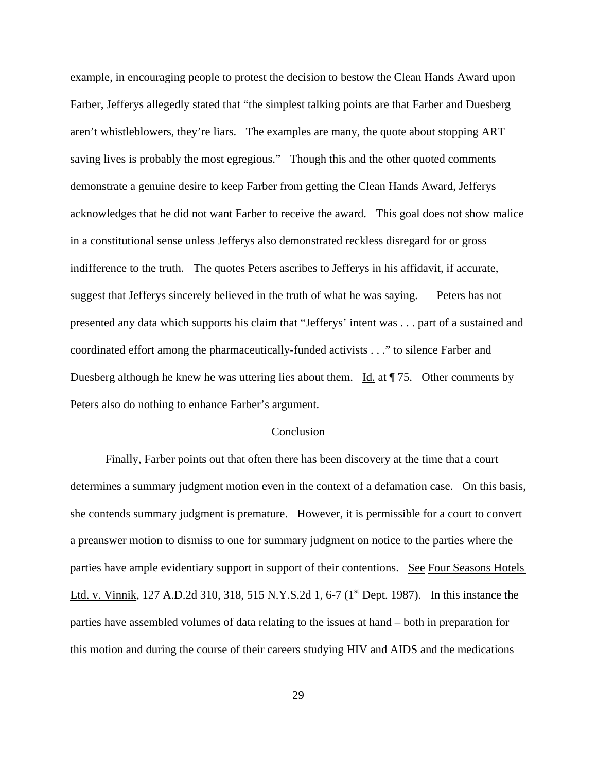example, in encouraging people to protest the decision to bestow the Clean Hands Award upon Farber, Jefferys allegedly stated that "the simplest talking points are that Farber and Duesberg aren't whistleblowers, they're liars. The examples are many, the quote about stopping ART saving lives is probably the most egregious." Though this and the other quoted comments demonstrate a genuine desire to keep Farber from getting the Clean Hands Award, Jefferys acknowledges that he did not want Farber to receive the award. This goal does not show malice in a constitutional sense unless Jefferys also demonstrated reckless disregard for or gross indifference to the truth. The quotes Peters ascribes to Jefferys in his affidavit, if accurate, suggest that Jefferys sincerely believed in the truth of what he was saying. Peters has not presented any data which supports his claim that "Jefferys' intent was . . . part of a sustained and coordinated effort among the pharmaceutically-funded activists . . ." to silence Farber and Duesberg although he knew he was uttering lies about them. Id. at  $\P$  75. Other comments by Peters also do nothing to enhance Farber's argument.

### Conclusion

Finally, Farber points out that often there has been discovery at the time that a court determines a summary judgment motion even in the context of a defamation case. On this basis, she contends summary judgment is premature. However, it is permissible for a court to convert a preanswer motion to dismiss to one for summary judgment on notice to the parties where the parties have ample evidentiary support in support of their contentions. See Four Seasons Hotels Ltd. v. Vinnik, 127 A.D.2d 310, 318, 515 N.Y.S.2d 1, 6-7 (1<sup>st</sup> Dept. 1987). In this instance the parties have assembled volumes of data relating to the issues at hand – both in preparation for this motion and during the course of their careers studying HIV and AIDS and the medications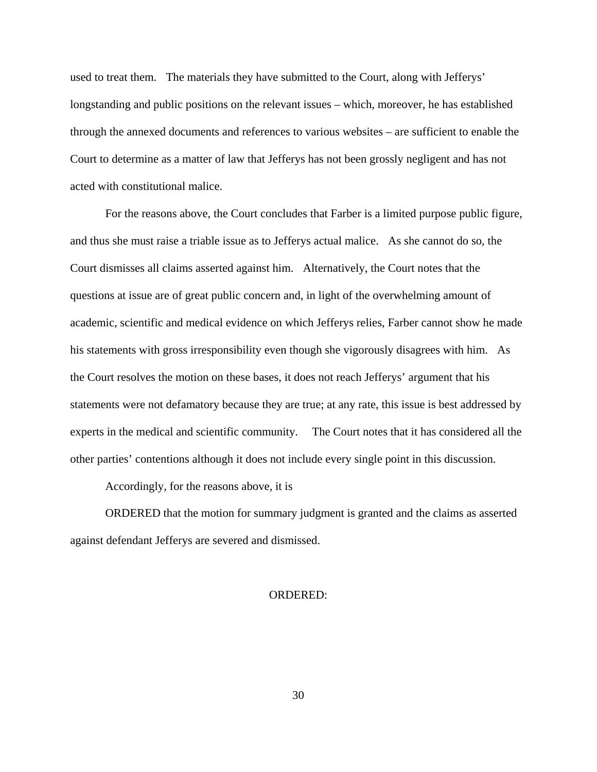used to treat them. The materials they have submitted to the Court, along with Jefferys' longstanding and public positions on the relevant issues – which, moreover, he has established through the annexed documents and references to various websites – are sufficient to enable the Court to determine as a matter of law that Jefferys has not been grossly negligent and has not acted with constitutional malice.

For the reasons above, the Court concludes that Farber is a limited purpose public figure, and thus she must raise a triable issue as to Jefferys actual malice. As she cannot do so, the Court dismisses all claims asserted against him. Alternatively, the Court notes that the questions at issue are of great public concern and, in light of the overwhelming amount of academic, scientific and medical evidence on which Jefferys relies, Farber cannot show he made his statements with gross irresponsibility even though she vigorously disagrees with him. As the Court resolves the motion on these bases, it does not reach Jefferys' argument that his statements were not defamatory because they are true; at any rate, this issue is best addressed by experts in the medical and scientific community. The Court notes that it has considered all the other parties' contentions although it does not include every single point in this discussion.

Accordingly, for the reasons above, it is

ORDERED that the motion for summary judgment is granted and the claims as asserted against defendant Jefferys are severed and dismissed.

## ORDERED: